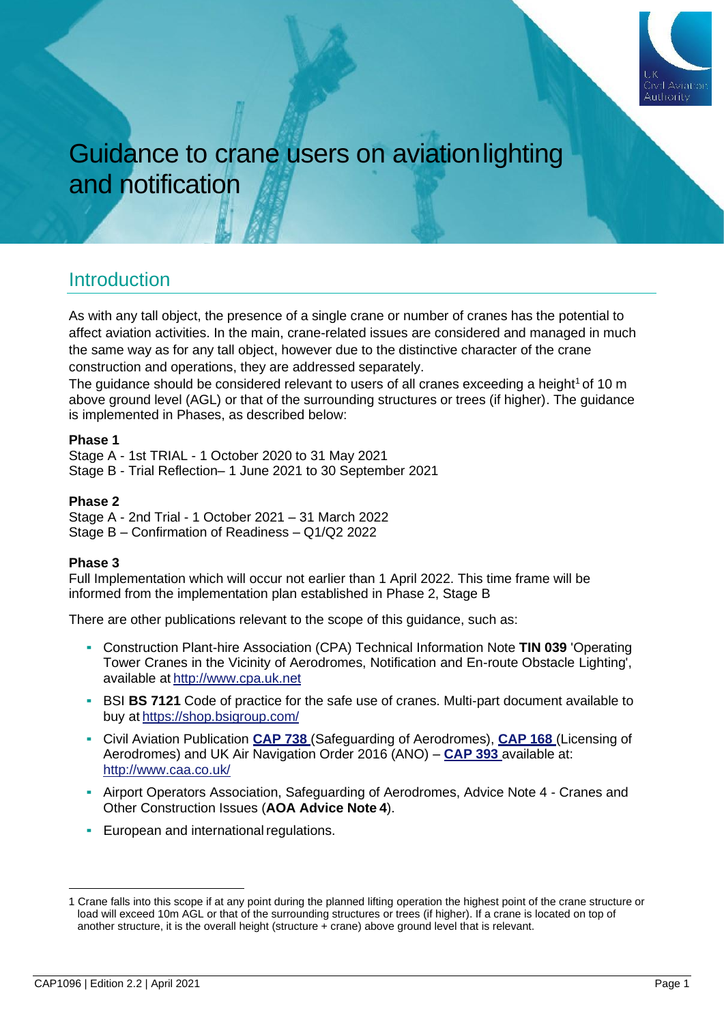

# Guidance to crane users on aviationlighting and notification

### **Introduction**

As with any tall object, the presence of a single crane or number of cranes has the potential to affect aviation activities. In the main, crane-related issues are considered and managed in much the same way as for any tall object, however due to the distinctive character of the crane construction and operations, they are addressed separately.

The guidance should be considered relevant to users of all cranes exceeding a height<sup>1</sup> of 10 m above ground level (AGL) or that of the surrounding structures or trees (if higher). The guidance is implemented in Phases, as described below:

#### **Phase 1**

Stage A - 1st TRIAL - 1 October 2020 to 31 May 2021 Stage B - Trial Reflection– 1 June 2021 to 30 September 2021

#### **Phase 2**

Stage A - 2nd Trial - 1 October 2021 – 31 March 2022 Stage B – Confirmation of Readiness – Q1/Q2 2022

#### **Phase 3**

Full Implementation which will occur not earlier than 1 April 2022. This time frame will be informed from the implementation plan established in Phase 2, Stage B

There are other publications relevant to the scope of this guidance, such as:

- Construction Plant-hire Association (CPA) Technical Information Note **TIN 039** 'Operating Tower Cranes in the Vicinity of Aerodromes, Notification and En-route Obstacle Lighting', available at [http://www.cpa.uk.net](http://www.cpa.uk.net/)
- **BI BS 7121** Code of practice for the safe use of cranes. Multi-part document available to buy at <https://shop.bsigroup.com/>
- Civil Aviation Publication **[CAP 738](http://www.caa.co.uk/CAP738)** (Safeguarding of Aerodromes), **[CAP 168](http://www.caa.co.uk/CAP168)** (Licensing of Aerodromes) and UK Air Navigation Order 2016 (ANO) – **[CAP 393](http://www.caa.co.uk/CAP393)** available at: <http://www.caa.co.uk/>
- **-** Airport Operators Association, Safeguarding of Aerodromes, Advice Note 4 Cranes and Other Construction Issues (**AOA Advice Note 4**).
- **European and international regulations.**

<sup>1</sup> Crane falls into this scope if at any point during the planned lifting operation the highest point of the crane structure or load will exceed 10m AGL or that of the surrounding structures or trees (if higher). If a crane is located on top of another structure, it is the overall height (structure + crane) above ground level that is relevant.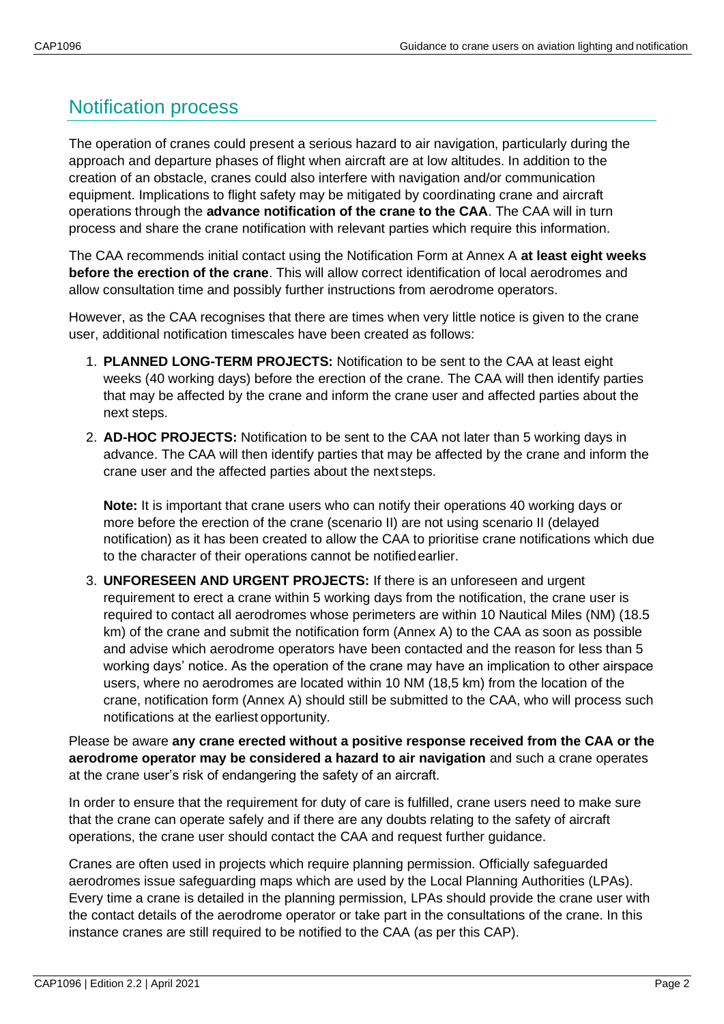## Notification process

The operation of cranes could present a serious hazard to air navigation, particularly during the approach and departure phases of flight when aircraft are at low altitudes. In addition to the creation of an obstacle, cranes could also interfere with navigation and/or communication equipment. Implications to flight safety may be mitigated by coordinating crane and aircraft operations through the **advance notification of the crane to the CAA**. The CAA will in turn process and share the crane notification with relevant parties which require this information.

The CAA recommends initial contact using the Notification Form at Annex A **at least eight weeks before the erection of the crane**. This will allow correct identification of local aerodromes and allow consultation time and possibly further instructions from aerodrome operators.

However, as the CAA recognises that there are times when very little notice is given to the crane user, additional notification timescales have been created as follows:

- 1. **PLANNED LONG-TERM PROJECTS:** Notification to be sent to the CAA at least eight weeks (40 working days) before the erection of the crane. The CAA will then identify parties that may be affected by the crane and inform the crane user and affected parties about the next steps.
- 2. **AD-HOC PROJECTS:** Notification to be sent to the CAA not later than 5 working days in advance. The CAA will then identify parties that may be affected by the crane and inform the crane user and the affected parties about the next steps.

**Note:** It is important that crane users who can notify their operations 40 working days or more before the erection of the crane (scenario II) are not using scenario II (delayed notification) as it has been created to allow the CAA to prioritise crane notifications which due to the character of their operations cannot be notifiedearlier.

3. **UNFORESEEN AND URGENT PROJECTS:** If there is an unforeseen and urgent requirement to erect a crane within 5 working days from the notification, the crane user is required to contact all aerodromes whose perimeters are within 10 Nautical Miles (NM) (18.5 km) of the crane and submit the notification form (Annex A) to the CAA as soon as possible and advise which aerodrome operators have been contacted and the reason for less than 5 working days' notice. As the operation of the crane may have an implication to other airspace users, where no aerodromes are located within 10 NM (18,5 km) from the location of the crane, notification form (Annex A) should still be submitted to the CAA, who will process such notifications at the earliest opportunity.

Please be aware **any crane erected without a positive response received from the CAA or the aerodrome operator may be considered a hazard to air navigation** and such a crane operates at the crane user's risk of endangering the safety of an aircraft.

In order to ensure that the requirement for duty of care is fulfilled, crane users need to make sure that the crane can operate safely and if there are any doubts relating to the safety of aircraft operations, the crane user should contact the CAA and request further guidance.

Cranes are often used in projects which require planning permission. Officially safeguarded aerodromes issue safeguarding maps which are used by the Local Planning Authorities (LPAs). Every time a crane is detailed in the planning permission, LPAs should provide the crane user with the contact details of the aerodrome operator or take part in the consultations of the crane. In this instance cranes are still required to be notified to the CAA (as per this CAP).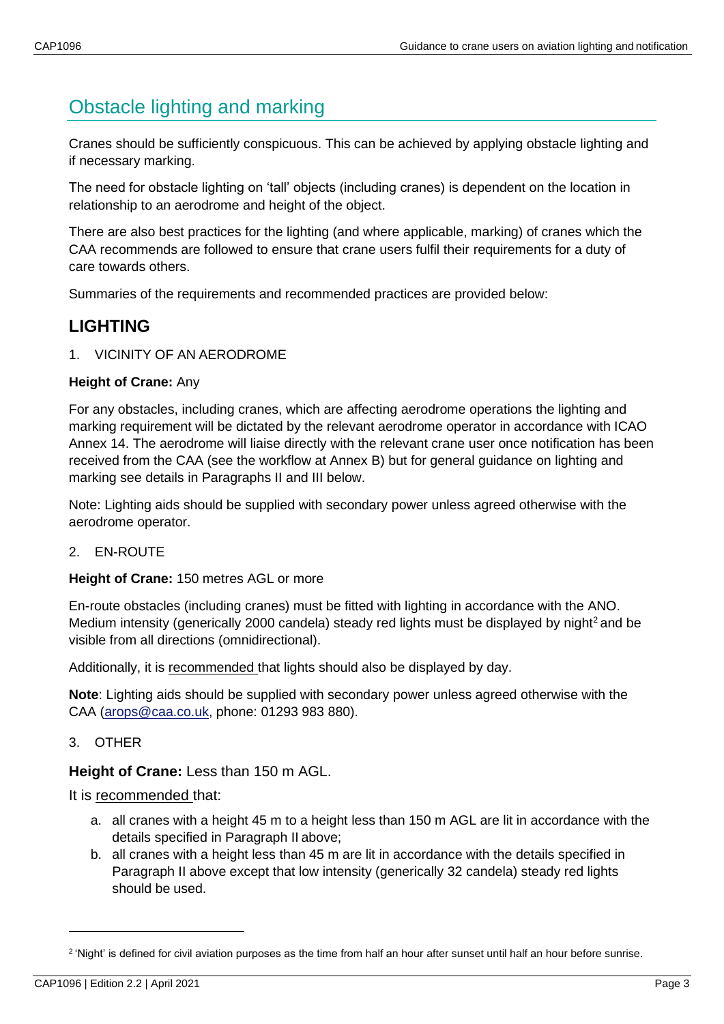## Obstacle lighting and marking

Cranes should be sufficiently conspicuous. This can be achieved by applying obstacle lighting and if necessary marking.

The need for obstacle lighting on 'tall' objects (including cranes) is dependent on the location in relationship to an aerodrome and height of the object.

There are also best practices for the lighting (and where applicable, marking) of cranes which the CAA recommends are followed to ensure that crane users fulfil their requirements for a duty of care towards others.

Summaries of the requirements and recommended practices are provided below:

## **LIGHTING**

#### 1. VICINITY OF AN AERODROME

#### **Height of Crane:** Any

For any obstacles, including cranes, which are affecting aerodrome operations the lighting and marking requirement will be dictated by the relevant aerodrome operator in accordance with ICAO Annex 14. The aerodrome will liaise directly with the relevant crane user once notification has been received from the CAA (see the workflow at Annex B) but for general guidance on lighting and marking see details in Paragraphs II and III below.

Note: Lighting aids should be supplied with secondary power unless agreed otherwise with the aerodrome operator.

#### 2. EN-ROUTE

#### **Height of Crane:** 150 metres AGL or more

En-route obstacles (including cranes) must be fitted with lighting in accordance with the ANO. Medium intensity (generically 2000 candela) steady red lights must be displayed by night<sup>2</sup> and be visible from all directions (omnidirectional).

Additionally, it is recommended that lights should also be displayed by day.

**Note**: Lighting aids should be supplied with secondary power unless agreed otherwise with the CAA [\(arops@caa.co.uk,](mailto:arops@caa.co.uk) phone: 01293 983 880).

#### 3. OTHER

#### **Height of Crane:** Less than 150 m AGL.

It is recommended that:

- a. all cranes with a height 45 m to a height less than 150 m AGL are lit in accordance with the details specified in Paragraph II above;
- b. all cranes with a height less than 45 m are lit in accordance with the details specified in Paragraph II above except that low intensity (generically 32 candela) steady red lights should be used.

<sup>&</sup>lt;sup>2</sup> 'Night' is defined for civil aviation purposes as the time from half an hour after sunset until half an hour before sunrise.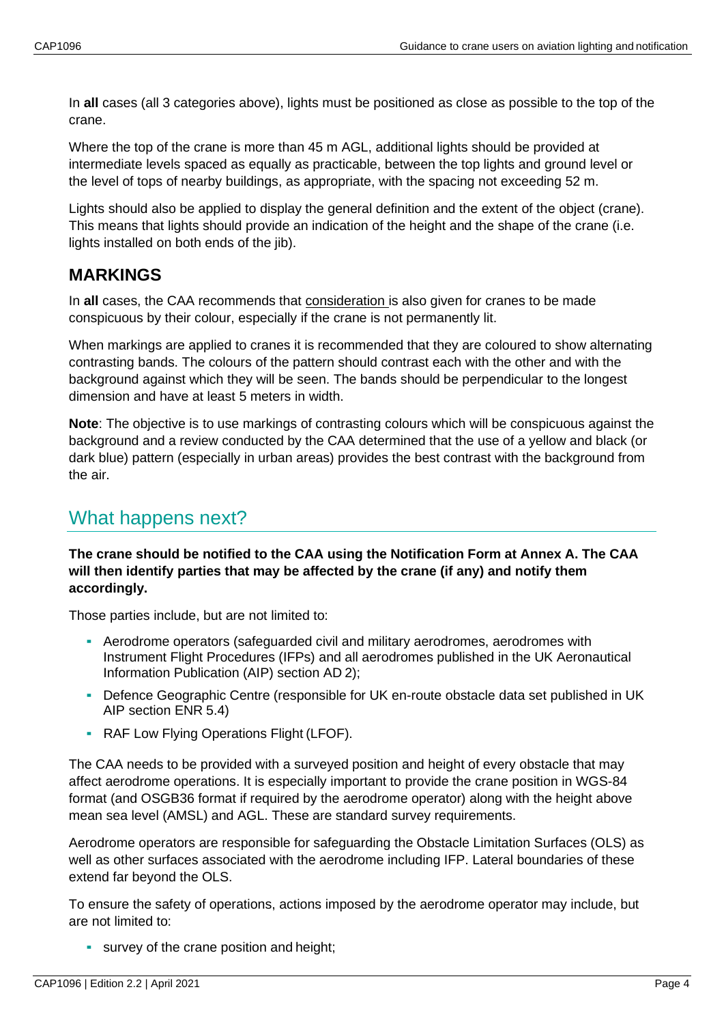In **all** cases (all 3 categories above), lights must be positioned as close as possible to the top of the crane.

Where the top of the crane is more than 45 m AGL, additional lights should be provided at intermediate levels spaced as equally as practicable, between the top lights and ground level or the level of tops of nearby buildings, as appropriate, with the spacing not exceeding 52 m.

Lights should also be applied to display the general definition and the extent of the object (crane). This means that lights should provide an indication of the height and the shape of the crane (i.e. lights installed on both ends of the jib).

### **MARKINGS**

In **all** cases, the CAA recommends that consideration is also given for cranes to be made conspicuous by their colour, especially if the crane is not permanently lit.

When markings are applied to cranes it is recommended that they are coloured to show alternating contrasting bands. The colours of the pattern should contrast each with the other and with the background against which they will be seen. The bands should be perpendicular to the longest dimension and have at least 5 meters in width.

**Note**: The objective is to use markings of contrasting colours which will be conspicuous against the background and a review conducted by the CAA determined that the use of a yellow and black (or dark blue) pattern (especially in urban areas) provides the best contrast with the background from the air.

## What happens next?

**The crane should be notified to the CAA using the Notification Form at Annex A. The CAA will then identify parties that may be affected by the crane (if any) and notify them accordingly.**

Those parties include, but are not limited to:

- Aerodrome operators (safeguarded civil and military aerodromes, aerodromes with Instrument Flight Procedures (IFPs) and all aerodromes published in the UK Aeronautical Information Publication (AIP) section AD 2);
- Defence Geographic Centre (responsible for UK en-route obstacle data set published in UK AIP section ENR 5.4)
- **RAF Low Flying Operations Flight (LFOF).**

The CAA needs to be provided with a surveyed position and height of every obstacle that may affect aerodrome operations. It is especially important to provide the crane position in WGS-84 format (and OSGB36 format if required by the aerodrome operator) along with the height above mean sea level (AMSL) and AGL. These are standard survey requirements.

Aerodrome operators are responsible for safeguarding the Obstacle Limitation Surfaces (OLS) as well as other surfaces associated with the aerodrome including IFP. Lateral boundaries of these extend far beyond the OLS.

To ensure the safety of operations, actions imposed by the aerodrome operator may include, but are not limited to:

**E** survey of the crane position and height;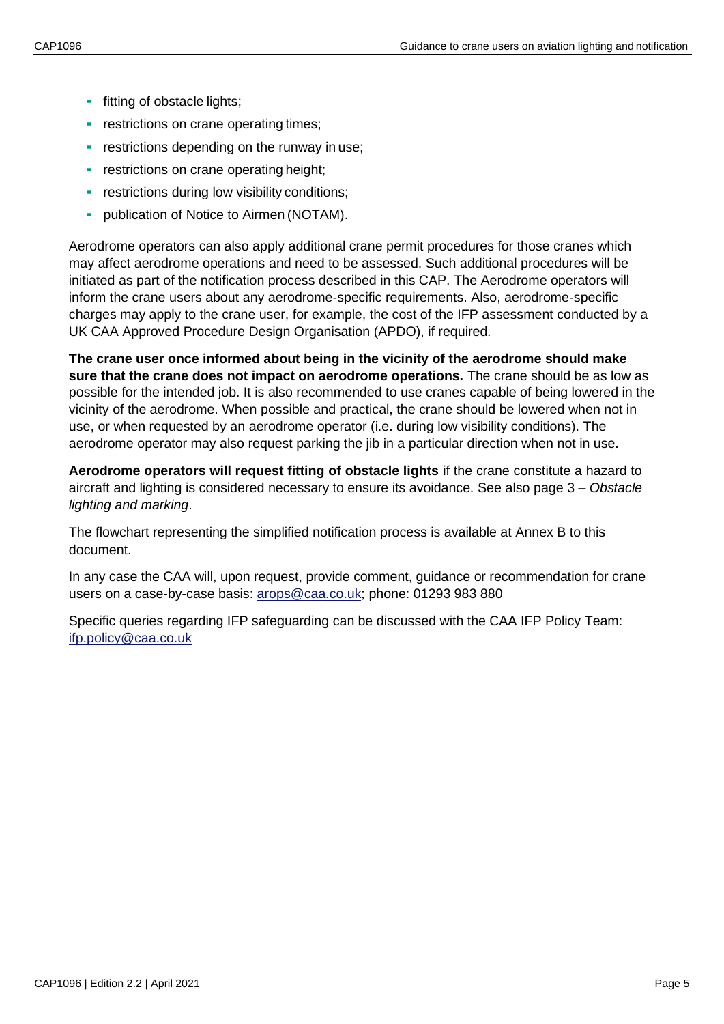- **•** fitting of obstacle lights;
- **•** restrictions on crane operating times;
- **EXECTE:** restrictions depending on the runway in use;
- **restrictions on crane operating height;**
- **•** restrictions during low visibility conditions;
- publication of Notice to Airmen (NOTAM).

Aerodrome operators can also apply additional crane permit procedures for those cranes which may affect aerodrome operations and need to be assessed. Such additional procedures will be initiated as part of the notification process described in this CAP. The Aerodrome operators will inform the crane users about any aerodrome-specific requirements. Also, aerodrome-specific charges may apply to the crane user, for example, the cost of the IFP assessment conducted by a UK CAA Approved Procedure Design Organisation (APDO), if required.

**The crane user once informed about being in the vicinity of the aerodrome should make sure that the crane does not impact on aerodrome operations.** The crane should be as low as possible for the intended job. It is also recommended to use cranes capable of being lowered in the vicinity of the aerodrome. When possible and practical, the crane should be lowered when not in use, or when requested by an aerodrome operator (i.e. during low visibility conditions). The aerodrome operator may also request parking the jib in a particular direction when not in use.

**Aerodrome operators will request fitting of obstacle lights** if the crane constitute a hazard to aircraft and lighting is considered necessary to ensure its avoidance. See also page 3 – *Obstacle lighting and marking*.

The flowchart representing the simplified notification process is available at Annex B to this document.

In any case the CAA will, upon request, provide comment, guidance or recommendation for crane users on a case-by-case basis: [arops@caa.co.uk;](mailto:arops@caa.co.uk) phone: 01293 983 880

Specific queries regarding IFP safeguarding can be discussed with the CAA IFP Policy Team: [ifp.policy@caa.co.uk](mailto:ifp.policy@caa.co.uk)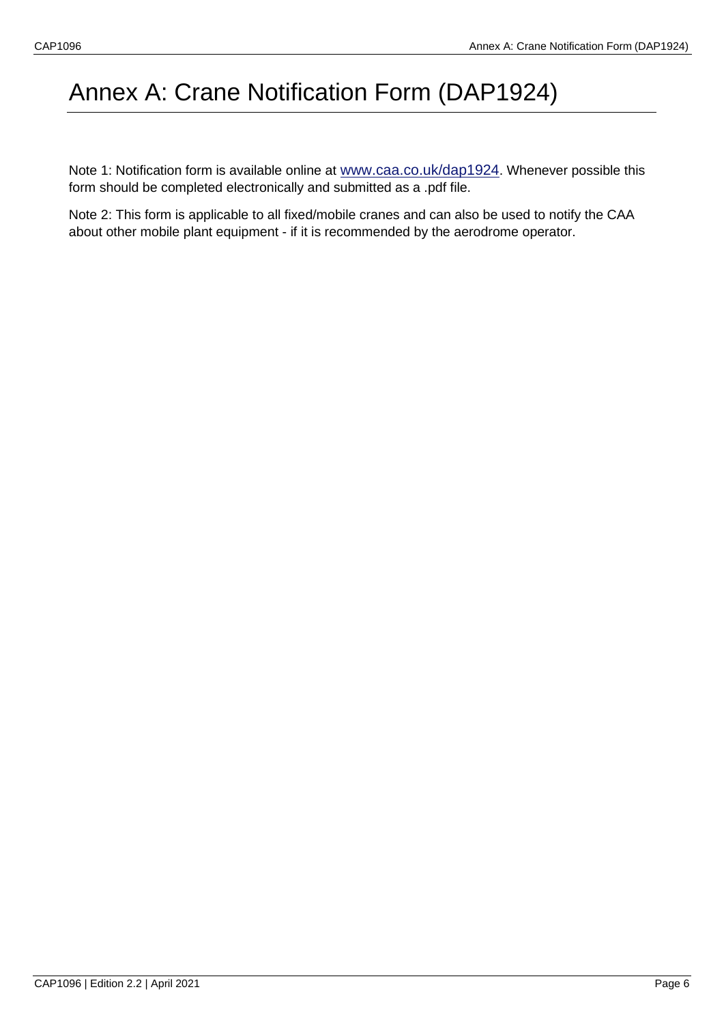# Annex A: Crane Notification Form (DAP1924)

Note 1: Notification form is available online at [www.caa.co.uk/dap1924](http://www.caa.co.uk/dap1924). Whenever possible this form should be completed electronically and submitted as a .pdf file.

Note 2: This form is applicable to all fixed/mobile cranes and can also be used to notify the CAA about other mobile plant equipment - if it is recommended by the aerodrome operator.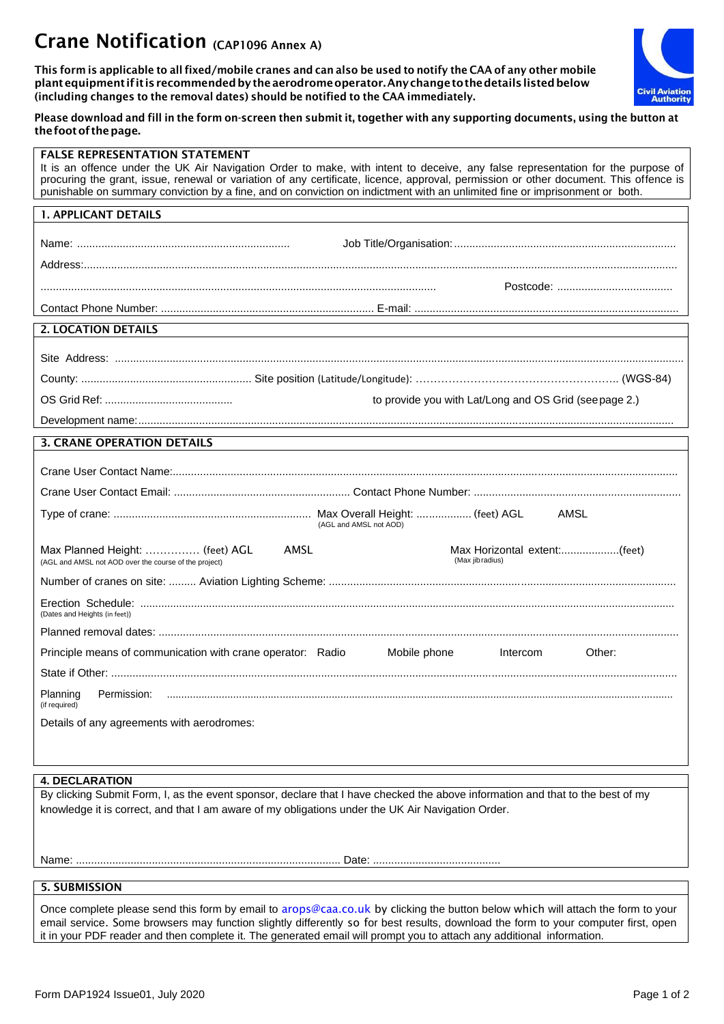## Crane Notification (CAP1096 Annex A)

This form is applicable to all fixed/mobile cranes and can also be used to notify the CAA of any other mobile plant equipment if it is recommended by the aerodrome operator. Any change to the details listed below (including changes to the removal dates) should be notified to the CAA immediately.



#### Please download and fill in the form on-screen then submit it, together with any supporting documents, using the button at the foot of the page.

| <b>FALSE REPRESENTATION STATEMENT</b><br>It is an offence under the UK Air Navigation Order to make, with intent to deceive, any false representation for the purpose of<br>procuring the grant, issue, renewal or variation of any certificate, licence, approval, permission or other document. This offence is<br>punishable on summary conviction by a fine, and on conviction on indictment with an unlimited fine or imprisonment or both. |
|--------------------------------------------------------------------------------------------------------------------------------------------------------------------------------------------------------------------------------------------------------------------------------------------------------------------------------------------------------------------------------------------------------------------------------------------------|
| <b>1. APPLICANT DETAILS</b>                                                                                                                                                                                                                                                                                                                                                                                                                      |
|                                                                                                                                                                                                                                                                                                                                                                                                                                                  |
|                                                                                                                                                                                                                                                                                                                                                                                                                                                  |
|                                                                                                                                                                                                                                                                                                                                                                                                                                                  |
| <b>2. LOCATION DETAILS</b>                                                                                                                                                                                                                                                                                                                                                                                                                       |
|                                                                                                                                                                                                                                                                                                                                                                                                                                                  |
|                                                                                                                                                                                                                                                                                                                                                                                                                                                  |
| to provide you with Lat/Long and OS Grid (see page 2.)                                                                                                                                                                                                                                                                                                                                                                                           |
|                                                                                                                                                                                                                                                                                                                                                                                                                                                  |
| <b>3. CRANE OPERATION DETAILS</b>                                                                                                                                                                                                                                                                                                                                                                                                                |
|                                                                                                                                                                                                                                                                                                                                                                                                                                                  |
|                                                                                                                                                                                                                                                                                                                                                                                                                                                  |
| AMSL<br>(AGL and AMSL not AOD)                                                                                                                                                                                                                                                                                                                                                                                                                   |
| Max Horizontal extent:(feet)<br>Max Planned Height:  (feet) AGL<br>AMSL<br>(Max jib radius)<br>(AGL and AMSL not AOD over the course of the project)                                                                                                                                                                                                                                                                                             |
|                                                                                                                                                                                                                                                                                                                                                                                                                                                  |
| (Dates and Heights (in feet))                                                                                                                                                                                                                                                                                                                                                                                                                    |
|                                                                                                                                                                                                                                                                                                                                                                                                                                                  |
| Principle means of communication with crane operator: Radio<br>Mobile phone<br>Other:<br>Intercom                                                                                                                                                                                                                                                                                                                                                |
|                                                                                                                                                                                                                                                                                                                                                                                                                                                  |
| Planning<br>Permission:<br>(if required)                                                                                                                                                                                                                                                                                                                                                                                                         |
| Details of any agreements with aerodromes:                                                                                                                                                                                                                                                                                                                                                                                                       |
|                                                                                                                                                                                                                                                                                                                                                                                                                                                  |
| <b>4. DECLARATION</b>                                                                                                                                                                                                                                                                                                                                                                                                                            |
| By clicking Submit Form, I, as the event sponsor, declare that I have checked the above information and that to the best of my<br>knowledge it is correct, and that I am aware of my obligations under the UK Air Navigation Order.                                                                                                                                                                                                              |
|                                                                                                                                                                                                                                                                                                                                                                                                                                                  |
|                                                                                                                                                                                                                                                                                                                                                                                                                                                  |
| <b>5. SUBMISSION</b>                                                                                                                                                                                                                                                                                                                                                                                                                             |
| Once complete please send this form by email to arops@caa.co.uk by clicking the button below which will attach the form to your                                                                                                                                                                                                                                                                                                                  |

email service. Some browsers may function slightly differently so for best results, download the form to your computer first, open it in your PDF reader and then complete it. The generated email will prompt you to attach any additional information.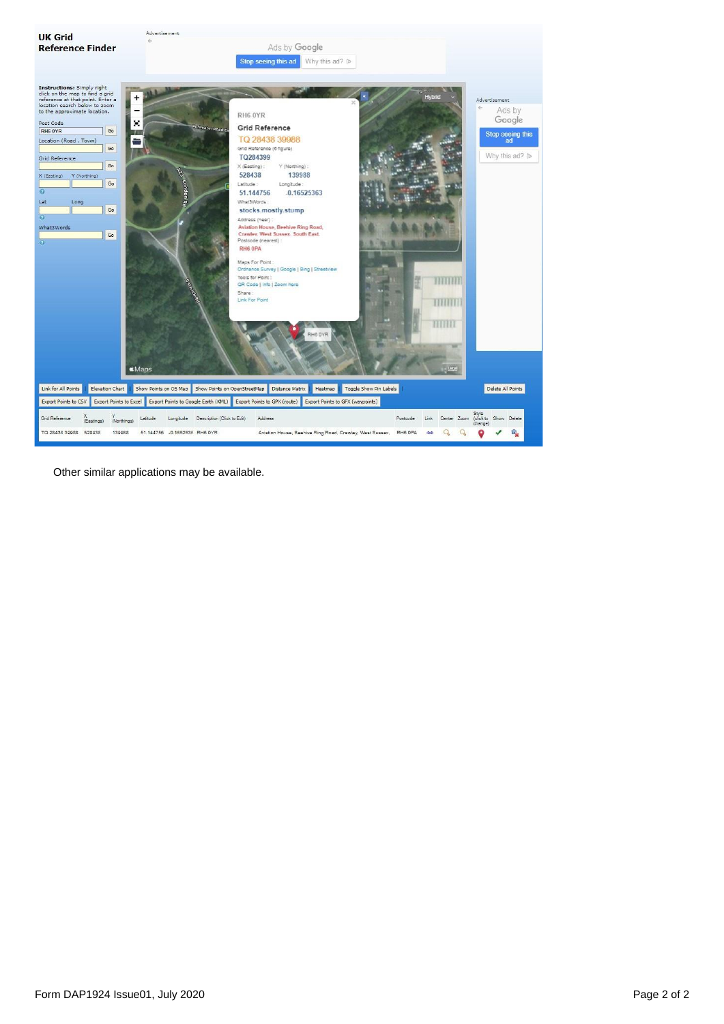

Other similar applications may be available.